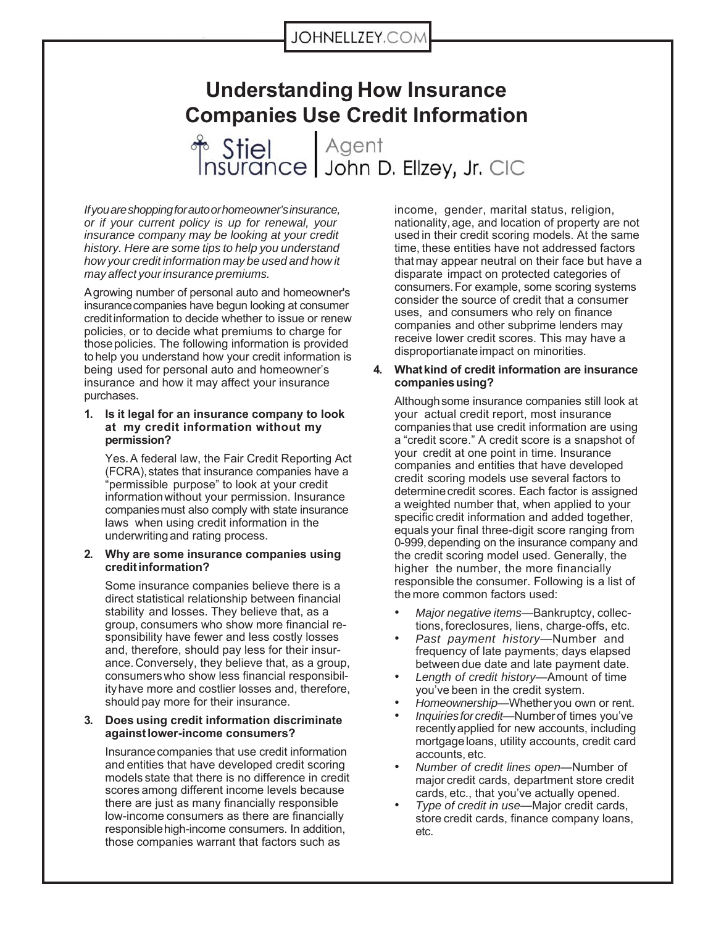# **Understanding How Insurance Companies Use Credit Information**

Agent Stiel nsurance | John D. Ellzey, Jr. CIC

*If you are shopping for auto or homeowner's insurance, or if your current policy is up for renewal, your insurance company may be looking at your credit history. Here are some tips to help you understand how your credit information may be used and how it may affect your insurance premiums.*

A growing number of personal auto and homeowner's insurance companies have begun looking at consumer credit information to decide whether to issue or renew policies, or to decide what premiums to charge for those policies. The following information is provided to help you understand how your credit information is being used for personal auto and homeowner's insurance and how it may affect your insurance purchases.

#### **1. Is it legal for an insurance company to look at my credit information without my permission?**

Yes. A federal law, the Fair Credit Reporting Act (FCRA), states that insurance companies have a "permissible purpose" to look at your credit information without your permission. Insurance companies must also comply with state insurance laws when using credit information in the underwriting and rating process.

#### **2. Why are some insurance companies using credit information?**

Some insurance companies believe there is a direct statistical relationship between financial stability and losses. They believe that, as a group, consumers who show more financial responsibility have fewer and less costly losses and, therefore, should pay less for their insurance. Conversely, they believe that, as a group, consumers who show less financial responsibility have more and costlier losses and, therefore, should pay more for their insurance.

#### **3. Does using credit information discriminate against lower-income consumers?**

Insurance companies that use credit information and entities that have developed credit scoring models state that there is no difference in credit scores among different income levels because there are just as many financially responsible low-income consumers as there are financially responsible high-income consumers. In addition, those companies warrant that factors such as

income, gender, marital status, religion, nationality, age, and location of property are not used in their credit scoring models. At the same time, these entities have not addressed factors that may appear neutral on their face but have a disparate impact on protected categories of consumers. For example, some scoring systems consider the source of credit that a consumer uses, and consumers who rely on finance companies and other subprime lenders may receive lower credit scores. This may have a disproportianate impact on minorities.

#### **4. What kind of credit information are insurance companies using?**

Although some insurance companies still look at your actual credit report, most insurance companies that use credit information are using a "credit score." A credit score is a snapshot of your credit at one point in time. Insurance companies and entities that have developed credit scoring models use several factors to determine credit scores. Each factor is assigned a weighted number that, when applied to your specific credit information and added together, equals your final three-digit score ranging from 0-999, depending on the insurance company and the credit scoring model used. Generally, the higher the number, the more financially responsible the consumer. Following is a list of the more common factors used:

- *Major negative items*—Bankruptcy, collections, foreclosures, liens, charge-offs, etc.
- *Past payment history*—Number and frequency of late payments; days elapsed between due date and late payment date.
- *Length of credit history*—Amount of time you've been in the credit system.
- *Homeownership*—Whether you own or rent.
- *Inquiries for credit*—Number of times you've recently applied for new accounts, including mortgage loans, utility accounts, credit card accounts, etc.
- *Number of credit lines open*—Number of major credit cards, department store credit cards, etc., that you've actually opened.
- *Type of credit in use*—Major credit cards, store credit cards, finance company loans, etc.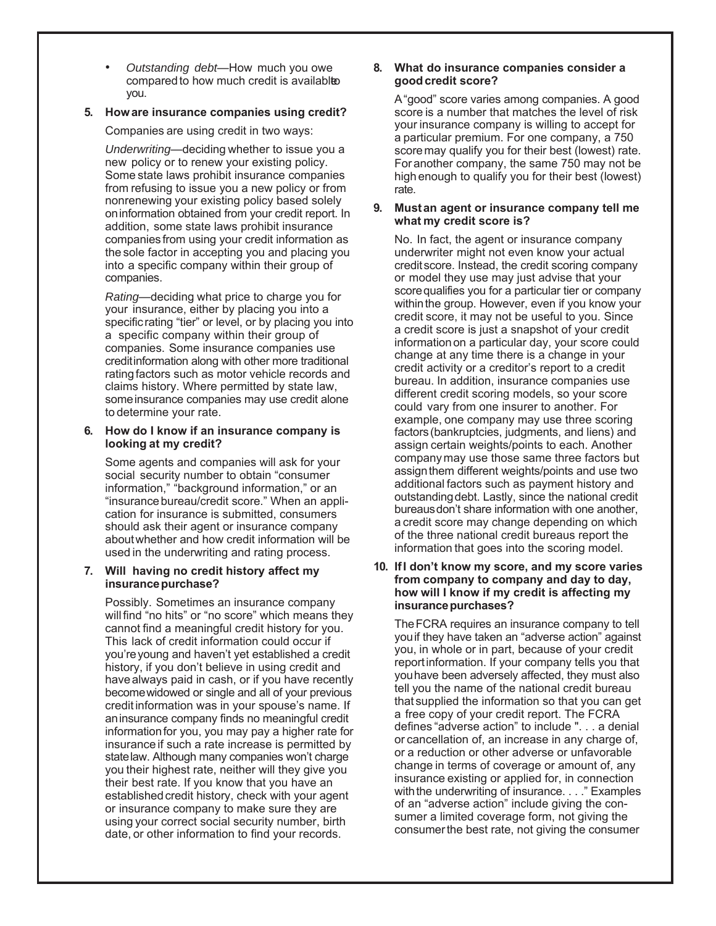• *Outstanding debt*—How much you owe compared to how much credit is availabled you.

# **5. How are insurance companies using credit?**

Companies are using credit in two ways:

*Underwriting*—deciding whether to issue you a new policy or to renew your existing policy. Some state laws prohibit insurance companies from refusing to issue you a new policy or from nonrenewing your existing policy based solely on information obtained from your credit report. In addition, some state laws prohibit insurance companies from using your credit information as the sole factor in accepting you and placing you into a specific company within their group of companies.

*Rating*—deciding what price to charge you for your insurance, either by placing you into a specific rating "tier" or level, or by placing you into a specific company within their group of companies. Some insurance companies use credit information along with other more traditional rating factors such as motor vehicle records and claims history. Where permitted by state law, some insurance companies may use credit alone to determine your rate.

## **6. How do I know if an insurance company is looking at my credit?**

Some agents and companies will ask for your social security number to obtain "consumer information," "background information," or an "insurance bureau/credit score." When an application for insurance is submitted, consumers should ask their agent or insurance company about whether and how credit information will be used in the underwriting and rating process.

# **7. Will having no credit history affect my insurance purchase?**

Possibly. Sometimes an insurance company will find "no hits" or "no score" which means they cannot find a meaningful credit history for you. This lack of credit information could occur if you're young and haven't yet established a credit history, if you don't believe in using credit and have always paid in cash, or if you have recently become widowed or single and all of your previous credit information was in your spouse's name. If an insurance company finds no meaningful credit information for you, you may pay a higher rate for insurance if such a rate increase is permitted by state law. Although many companies won't charge you their highest rate, neither will they give you their best rate. If you know that you have an established credit history, check with your agent or insurance company to make sure they are using your correct social security number, birth date, or other information to find your records.

# **8. What do insurance companies consider a good credit score?**

A "good" score varies among companies. A good score is a number that matches the level of risk your insurance company is willing to accept for a particular premium. For one company, a 750 score may qualify you for their best (lowest) rate. For another company, the same 750 may not be high enough to qualify you for their best (lowest) rate.

## **9. Must an agent or insurance company tell me what my credit score is?**

No. In fact, the agent or insurance company underwriter might not even know your actual credit score. Instead, the credit scoring company or model they use may just advise that your score qualifies you for a particular tier or company within the group. However, even if you know your credit score, it may not be useful to you. Since a credit score is just a snapshot of your credit information on a particular day, your score could change at any time there is a change in your credit activity or a creditor's report to a credit bureau. In addition, insurance companies use different credit scoring models, so your score could vary from one insurer to another. For example, one company may use three scoring factors (bankruptcies, judgments, and liens) and assign certain weights/points to each. Another company may use those same three factors but assign them different weights/points and use two additional factors such as payment history and outstanding debt. Lastly, since the national credit bureaus don't share information with one another, a credit score may change depending on which of the three national credit bureaus report the information that goes into the scoring model.

#### **10. If I don't know my score, and my score varies from company to company and day to day, how will I know if my credit is affecting my insurance purchases?**

The FCRA requires an insurance company to tell you if they have taken an "adverse action" against you, in whole or in part, because of your credit report information. If your company tells you that you have been adversely affected, they must also tell you the name of the national credit bureau that supplied the information so that you can get a free copy of your credit report. The FCRA defines "adverse action" to include ". . . a denial or cancellation of, an increase in any charge of, or a reduction or other adverse or unfavorable change in terms of coverage or amount of, any insurance existing or applied for, in connection with the underwriting of insurance. . . ." Examples of an "adverse action" include giving the consumer a limited coverage form, not giving the consumer the best rate, not giving the consumer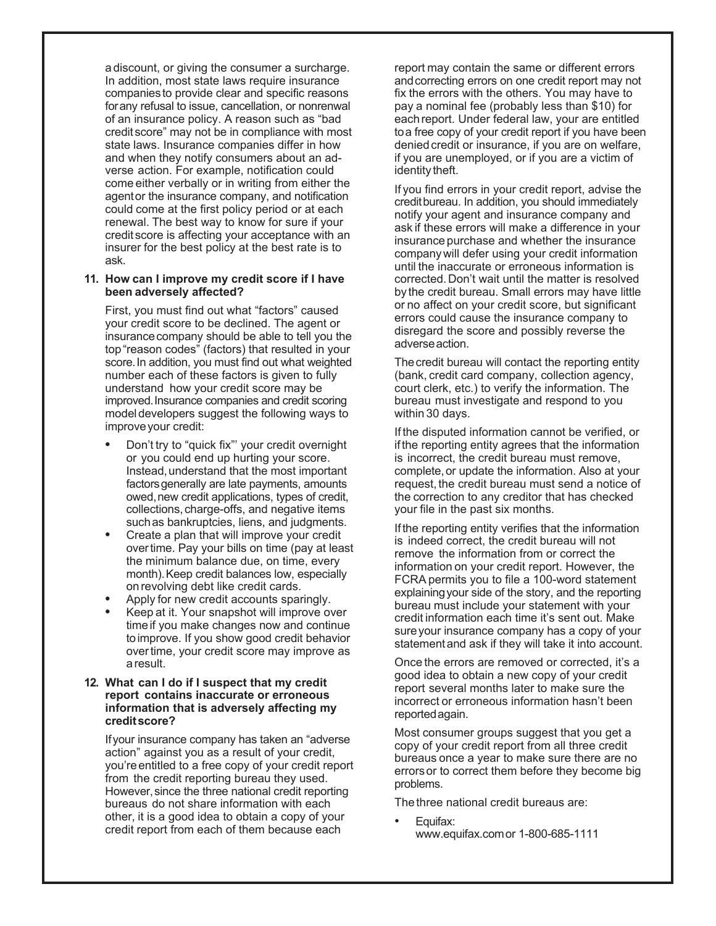a discount, or giving the consumer a surcharge. In addition, most state laws require insurance companies to provide clear and specific reasons for any refusal to issue, cancellation, or nonrenwal of an insurance policy. A reason such as "bad credit score" may not be in compliance with most state laws. Insurance companies differ in how and when they notify consumers about an adverse action. For example, notification could come either verbally or in writing from either the agent or the insurance company, and notification could come at the first policy period or at each renewal. The best way to know for sure if your credit score is affecting your acceptance with an insurer for the best policy at the best rate is to ask.

#### **11. How can I improve my credit score if I have been adversely affected?**

First, you must find out what "factors" caused your credit score to be declined. The agent or insurance company should be able to tell you the top "reason codes" (factors) that resulted in your score. In addition, you must find out what weighted number each of these factors is given to fully understand how your credit score may be improved. Insurance companies and credit scoring model developers suggest the following ways to improve your credit:

- **•** Don't try to "quick fix"' your credit overnight or you could end up hurting your score. Instead, understand that the most important factors generally are late payments, amounts owed, new credit applications, types of credit, collections, charge-offs, and negative items such as bankruptcies, liens, and judgments.
- **•** Create a plan that will improve your credit over time. Pay your bills on time (pay at least the minimum balance due, on time, every month). Keep credit balances low, especially on revolving debt like credit cards.
- **•** Apply for new credit accounts sparingly.
- **•** Keep at it. Your snapshot will improve over time if you make changes now and continue to improve. If you show good credit behavior over time, your credit score may improve as a result.

#### **12. What can I do if I suspect that my credit report contains inaccurate or erroneous information that is adversely affecting my credit score?**

If your insurance company has taken an "adverse action" against you as a result of your credit, you're entitled to a free copy of your credit report from the credit reporting bureau they used. However, since the three national credit reporting bureaus do not share information with each other, it is a good idea to obtain a copy of your credit report from each of them because each

report may contain the same or different errors and correcting errors on one credit report may not fix the errors with the others. You may have to pay a nominal fee (probably less than \$10) for each report. Under federal law, your are entitled to a free copy of your credit report if you have been denied credit or insurance, if you are on welfare, if you are unemployed, or if you are a victim of identity theft.

If you find errors in your credit report, advise the credit bureau. In addition, you should immediately notify your agent and insurance company and ask if these errors will make a difference in your insurance purchase and whether the insurance company will defer using your credit information until the inaccurate or erroneous information is corrected. Don't wait until the matter is resolved by the credit bureau. Small errors may have little or no affect on your credit score, but significant errors could cause the insurance company to disregard the score and possibly reverse the adverse action.

The credit bureau will contact the reporting entity (bank, credit card company, collection agency, court clerk, etc.) to verify the information. The bureau must investigate and respond to you within 30 days.

If the disputed information cannot be verified, or if the reporting entity agrees that the information is incorrect, the credit bureau must remove, complete, or update the information. Also at your request, the credit bureau must send a notice of the correction to any creditor that has checked your file in the past six months.

If the reporting entity verifies that the information is indeed correct, the credit bureau will not remove the information from or correct the information on your credit report. However, the FCRA permits you to file a 100-word statement explaining your side of the story, and the reporting bureau must include your statement with your credit information each time it's sent out. Make sure your insurance company has a copy of your statement and ask if they will take it into account.

Once the errors are removed or corrected, it's a good idea to obtain a new copy of your credit report several months later to make sure the incorrect or erroneous information hasn't been reported again.

Most consumer groups suggest that you get a copy of your credit report from all three credit bureaus once a year to make sure there are no errors or to correct them before they become big problems.

The three national credit bureaus are:

Equifax: www.equifax.com or 1-800-685-1111